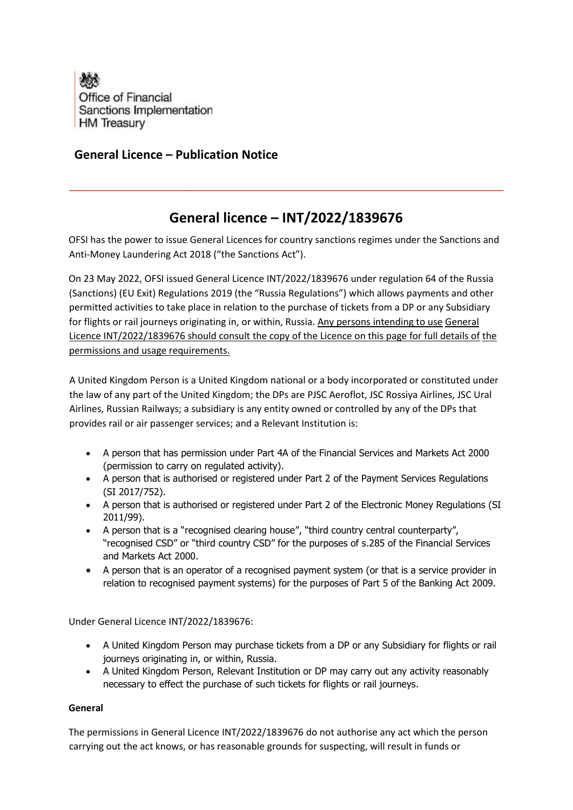

## **General Licence – Publication Notice**

## **General licence – INT/2022/1839676**

OFSI has the power to issue General Licences for country sanctions regimes under the Sanctions and Anti-Money Laundering Act 2018 ("the Sanctions Act").

On 23 May 2022, OFSI issued General Licence INT/2022/1839676 under regulation 64 of the Russia (Sanctions) (EU Exit) Regulations 2019 (the "Russia Regulations") which allows payments and other permitted activities to take place in relation to the purchase of tickets from a DP or any Subsidiary for flights or rail journeys originating in, or within, Russia. Any persons intending to use General Licence INT/2022/1839676 should consult the copy of the Licence on this page for full details of the permissions and usage requirements.

A United Kingdom Person is a United Kingdom national or a body incorporated or constituted under the law of any part of the United Kingdom; the DPs are PJSC Aeroflot, JSC Rossiya Airlines, JSC Ural Airlines, Russian Railways; a subsidiary is any entity owned or controlled by any of the DPs that provides rail or air passenger services; and a Relevant Institution is:

- A person that has permission under Part 4A of the Financial Services and Markets Act 2000 (permission to carry on regulated activity).
- A person that is authorised or registered under Part 2 of the Payment Services Regulations (SI 2017/752).
- A person that is authorised or registered under Part 2 of the Electronic Money Regulations (SI 2011/99).
- A person that is a "recognised clearing house", "third country central counterparty", "recognised CSD" or "third country CSD" for the purposes of s.285 of the Financial Services and Markets Act 2000.
- A person that is an operator of a recognised payment system (or that is a service provider in relation to recognised payment systems) for the purposes of Part 5 of the Banking Act 2009.

Under General Licence INT/2022/1839676:

- A United Kingdom Person may purchase tickets from a DP or any Subsidiary for flights or rail journeys originating in, or within, Russia.
- A United Kingdom Person, Relevant Institution or DP may carry out any activity reasonably necessary to effect the purchase of such tickets for flights or rail journeys.

## **General**

The permissions in General Licence INT/2022/1839676 do not authorise any act which the person carrying out the act knows, or has reasonable grounds for suspecting, will result in funds or